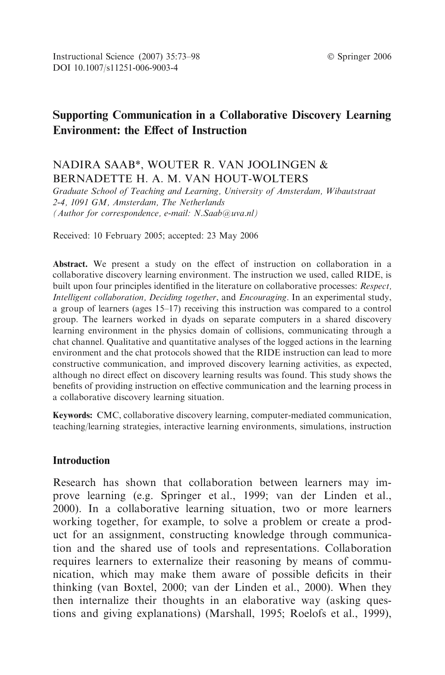# Supporting Communication in a Collaborative Discovery Learning Environment: the Effect of Instruction

## NADIRA SAAB\*, WOUTER R. VAN JOOLINGEN & BERNADETTE H. A. M. VAN HOUT-WOLTERS

Graduate School of Teaching and Learning, University of Amsterdam, Wibautstraat 2-4, 1091 GM, Amsterdam, The Netherlands (Author for correspondence, e-mail: N.Saab@uva.nl)

Received: 10 February 2005; accepted: 23 May 2006

Abstract. We present a study on the effect of instruction on collaboration in a collaborative discovery learning environment. The instruction we used, called RIDE, is built upon four principles identified in the literature on collaborative processes: Respect, Intelligent collaboration, Deciding together, and Encouraging. In an experimental study, a group of learners (ages 15–17) receiving this instruction was compared to a control group. The learners worked in dyads on separate computers in a shared discovery learning environment in the physics domain of collisions, communicating through a chat channel. Qualitative and quantitative analyses of the logged actions in the learning environment and the chat protocols showed that the RIDE instruction can lead to more constructive communication, and improved discovery learning activities, as expected, although no direct effect on discovery learning results was found. This study shows the benefits of providing instruction on effective communication and the learning process in a collaborative discovery learning situation.

Keywords: CMC, collaborative discovery learning, computer-mediated communication, teaching/learning strategies, interactive learning environments, simulations, instruction

#### Introduction

Research has shown that collaboration between learners may improve learning (e.g. Springer et al., 1999; van der Linden et al., 2000). In a collaborative learning situation, two or more learners working together, for example, to solve a problem or create a product for an assignment, constructing knowledge through communication and the shared use of tools and representations. Collaboration requires learners to externalize their reasoning by means of communication, which may make them aware of possible deficits in their thinking (van Boxtel, 2000; van der Linden et al., 2000). When they then internalize their thoughts in an elaborative way (asking questions and giving explanations) (Marshall, 1995; Roelofs et al., 1999),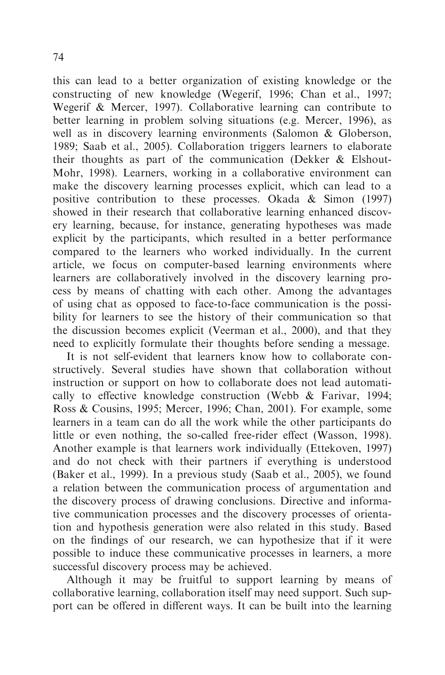74

this can lead to a better organization of existing knowledge or the constructing of new knowledge (Wegerif, 1996; Chan et al., 1997; Wegerif & Mercer, 1997). Collaborative learning can contribute to better learning in problem solving situations (e.g. Mercer, 1996), as well as in discovery learning environments (Salomon & Globerson, 1989; Saab et al., 2005). Collaboration triggers learners to elaborate their thoughts as part of the communication (Dekker & Elshout-Mohr, 1998). Learners, working in a collaborative environment can make the discovery learning processes explicit, which can lead to a positive contribution to these processes. Okada & Simon (1997) showed in their research that collaborative learning enhanced discovery learning, because, for instance, generating hypotheses was made explicit by the participants, which resulted in a better performance compared to the learners who worked individually. In the current article, we focus on computer-based learning environments where learners are collaboratively involved in the discovery learning process by means of chatting with each other. Among the advantages of using chat as opposed to face-to-face communication is the possibility for learners to see the history of their communication so that the discussion becomes explicit (Veerman et al., 2000), and that they need to explicitly formulate their thoughts before sending a message.

It is not self-evident that learners know how to collaborate constructively. Several studies have shown that collaboration without instruction or support on how to collaborate does not lead automatically to effective knowledge construction (Webb & Farivar, 1994; Ross & Cousins, 1995; Mercer, 1996; Chan, 2001). For example, some learners in a team can do all the work while the other participants do little or even nothing, the so-called free-rider effect (Wasson, 1998). Another example is that learners work individually (Ettekoven, 1997) and do not check with their partners if everything is understood (Baker et al., 1999). In a previous study (Saab et al., 2005), we found a relation between the communication process of argumentation and the discovery process of drawing conclusions. Directive and informative communication processes and the discovery processes of orientation and hypothesis generation were also related in this study. Based on the findings of our research, we can hypothesize that if it were possible to induce these communicative processes in learners, a more successful discovery process may be achieved.

Although it may be fruitful to support learning by means of collaborative learning, collaboration itself may need support. Such support can be offered in different ways. It can be built into the learning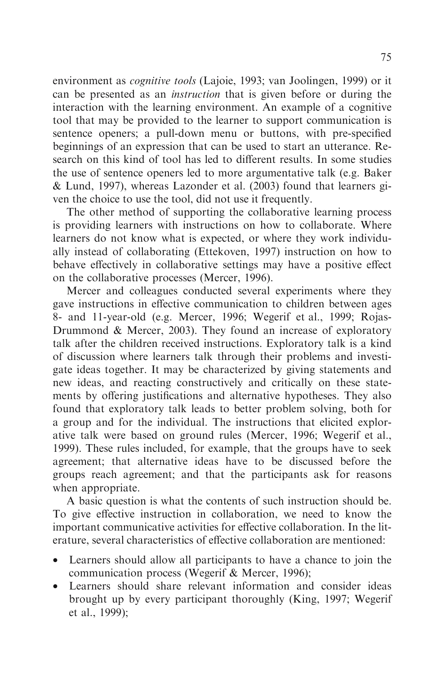environment as cognitive tools (Lajoie, 1993; van Joolingen, 1999) or it can be presented as an instruction that is given before or during the interaction with the learning environment. An example of a cognitive tool that may be provided to the learner to support communication is sentence openers; a pull-down menu or buttons, with pre-specified beginnings of an expression that can be used to start an utterance. Research on this kind of tool has led to different results. In some studies the use of sentence openers led to more argumentative talk (e.g. Baker & Lund, 1997), whereas Lazonder et al. (2003) found that learners given the choice to use the tool, did not use it frequently.

The other method of supporting the collaborative learning process is providing learners with instructions on how to collaborate. Where learners do not know what is expected, or where they work individually instead of collaborating (Ettekoven, 1997) instruction on how to behave effectively in collaborative settings may have a positive effect on the collaborative processes (Mercer, 1996).

Mercer and colleagues conducted several experiments where they gave instructions in effective communication to children between ages 8- and 11-year-old (e.g. Mercer, 1996; Wegerif et al., 1999; Rojas-Drummond & Mercer, 2003). They found an increase of exploratory talk after the children received instructions. Exploratory talk is a kind of discussion where learners talk through their problems and investigate ideas together. It may be characterized by giving statements and new ideas, and reacting constructively and critically on these statements by offering justifications and alternative hypotheses. They also found that exploratory talk leads to better problem solving, both for a group and for the individual. The instructions that elicited explorative talk were based on ground rules (Mercer, 1996; Wegerif et al., 1999). These rules included, for example, that the groups have to seek agreement; that alternative ideas have to be discussed before the groups reach agreement; and that the participants ask for reasons when appropriate.

A basic question is what the contents of such instruction should be. To give effective instruction in collaboration, we need to know the important communicative activities for effective collaboration. In the literature, several characteristics of effective collaboration are mentioned:

- Learners should allow all participants to have a chance to join the communication process (Wegerif & Mercer, 1996);
- Learners should share relevant information and consider ideas brought up by every participant thoroughly (King, 1997; Wegerif et al., 1999);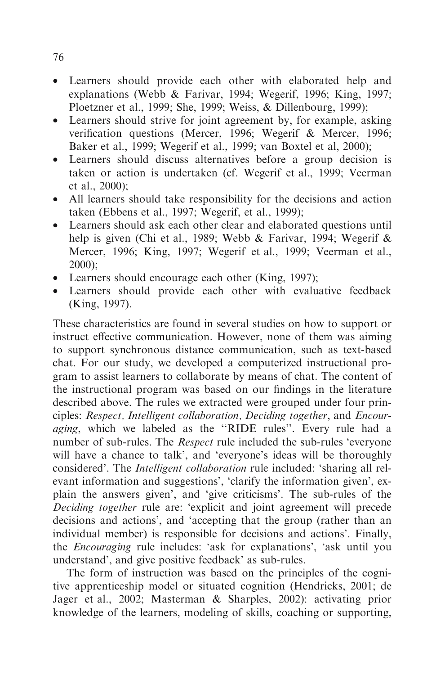- Learners should provide each other with elaborated help and explanations (Webb & Farivar, 1994; Wegerif, 1996; King, 1997; Ploetzner et al., 1999; She, 1999; Weiss, & Dillenbourg, 1999);
- Learners should strive for joint agreement by, for example, asking verification questions (Mercer, 1996; Wegerif & Mercer, 1996; Baker et al., 1999; Wegerif et al., 1999; van Boxtel et al, 2000);
- Learners should discuss alternatives before a group decision is taken or action is undertaken (cf. Wegerif et al., 1999; Veerman et al., 2000);
- All learners should take responsibility for the decisions and action taken (Ebbens et al., 1997; Wegerif, et al., 1999);
- Learners should ask each other clear and elaborated questions until help is given (Chi et al., 1989; Webb & Farivar, 1994; Wegerif & Mercer, 1996; King, 1997; Wegerif et al., 1999; Veerman et al., 2000);
- Learners should encourage each other (King, 1997);
- Learners should provide each other with evaluative feedback (King, 1997).

These characteristics are found in several studies on how to support or instruct effective communication. However, none of them was aiming to support synchronous distance communication, such as text-based chat. For our study, we developed a computerized instructional program to assist learners to collaborate by means of chat. The content of the instructional program was based on our findings in the literature described above. The rules we extracted were grouped under four principles: Respect, Intelligent collaboration, Deciding together, and Encour*aging*, which we labeled as the "RIDE rules". Every rule had a number of sub-rules. The *Respect* rule included the sub-rules 'everyone will have a chance to talk', and 'everyone's ideas will be thoroughly considered'. The Intelligent collaboration rule included: 'sharing all relevant information and suggestions', 'clarify the information given', explain the answers given', and 'give criticisms'. The sub-rules of the Deciding together rule are: 'explicit and joint agreement will precede decisions and actions', and 'accepting that the group (rather than an individual member) is responsible for decisions and actions'. Finally, the Encouraging rule includes: 'ask for explanations', 'ask until you understand', and give positive feedback' as sub-rules.

The form of instruction was based on the principles of the cognitive apprenticeship model or situated cognition (Hendricks, 2001; de Jager et al., 2002; Masterman & Sharples, 2002): activating prior knowledge of the learners, modeling of skills, coaching or supporting,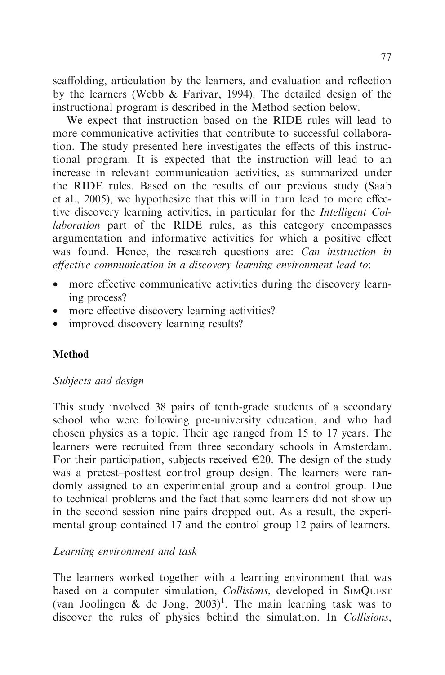scaffolding, articulation by the learners, and evaluation and reflection by the learners (Webb & Farivar, 1994). The detailed design of the instructional program is described in the Method section below.

We expect that instruction based on the RIDE rules will lead to more communicative activities that contribute to successful collaboration. The study presented here investigates the effects of this instructional program. It is expected that the instruction will lead to an increase in relevant communication activities, as summarized under the RIDE rules. Based on the results of our previous study (Saab et al., 2005), we hypothesize that this will in turn lead to more effective discovery learning activities, in particular for the Intelligent Collaboration part of the RIDE rules, as this category encompasses argumentation and informative activities for which a positive effect was found. Hence, the research questions are: *Can instruction in* effective communication in a discovery learning environment lead to:

- more effective communicative activities during the discovery learning process?
- more effective discovery learning activities?
- improved discovery learning results?

## Method

## Subjects and design

This study involved 38 pairs of tenth-grade students of a secondary school who were following pre-university education, and who had chosen physics as a topic. Their age ranged from 15 to 17 years. The learners were recruited from three secondary schools in Amsterdam. For their participation, subjects received  $\in 20$ . The design of the study was a pretest–posttest control group design. The learners were randomly assigned to an experimental group and a control group. Due to technical problems and the fact that some learners did not show up in the second session nine pairs dropped out. As a result, the experimental group contained 17 and the control group 12 pairs of learners.

## Learning environment and task

The learners worked together with a learning environment that was based on a computer simulation, *Collisions*, developed in SIMQUEST (van Joolingen  $\&$  de Jong, 2003)<sup>1</sup>. The main learning task was to discover the rules of physics behind the simulation. In *Collisions*,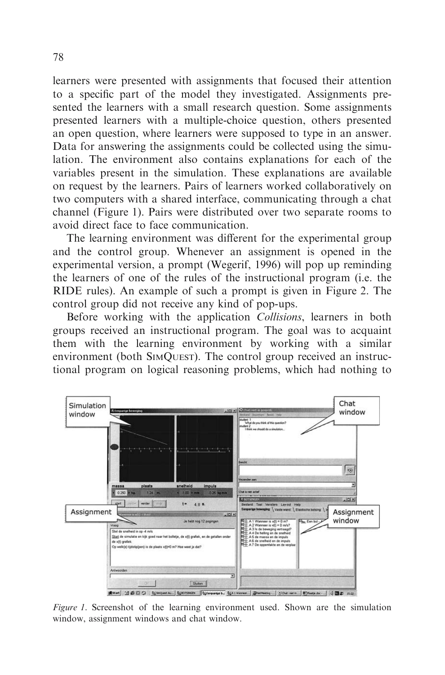learners were presented with assignments that focused their attention to a specific part of the model they investigated. Assignments presented the learners with a small research question. Some assignments presented learners with a multiple-choice question, others presented an open question, where learners were supposed to type in an answer. Data for answering the assignments could be collected using the simulation. The environment also contains explanations for each of the variables present in the simulation. These explanations are available on request by the learners. Pairs of learners worked collaboratively on two computers with a shared interface, communicating through a chat channel (Figure 1). Pairs were distributed over two separate rooms to avoid direct face to face communication.

The learning environment was different for the experimental group and the control group. Whenever an assignment is opened in the experimental version, a prompt (Wegerif, 1996) will pop up reminding the learners of one of the rules of the instructional program (i.e. the RIDE rules). An example of such a prompt is given in Figure 2. The control group did not receive any kind of pop-ups.

Before working with the application *Collisions*, learners in both groups received an instructional program. The goal was to acquaint them with the learning environment by working with a similar environment (both SIMQUEST). The control group received an instructional program on logical reasoning problems, which had nothing to



Figure 1. Screenshot of the learning environment used. Shown are the simulation window, assignment windows and chat window.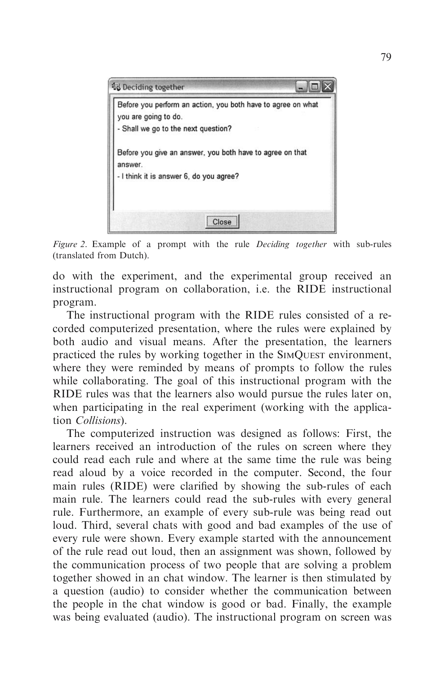

Figure 2. Example of a prompt with the rule *Deciding together* with sub-rules (translated from Dutch).

do with the experiment, and the experimental group received an instructional program on collaboration, i.e. the RIDE instructional program.

The instructional program with the RIDE rules consisted of a recorded computerized presentation, where the rules were explained by both audio and visual means. After the presentation, the learners practiced the rules by working together in the SIMQUEST environment, where they were reminded by means of prompts to follow the rules while collaborating. The goal of this instructional program with the RIDE rules was that the learners also would pursue the rules later on, when participating in the real experiment (working with the application Collisions).

The computerized instruction was designed as follows: First, the learners received an introduction of the rules on screen where they could read each rule and where at the same time the rule was being read aloud by a voice recorded in the computer. Second, the four main rules (RIDE) were clarified by showing the sub-rules of each main rule. The learners could read the sub-rules with every general rule. Furthermore, an example of every sub-rule was being read out loud. Third, several chats with good and bad examples of the use of every rule were shown. Every example started with the announcement of the rule read out loud, then an assignment was shown, followed by the communication process of two people that are solving a problem together showed in an chat window. The learner is then stimulated by a question (audio) to consider whether the communication between the people in the chat window is good or bad. Finally, the example was being evaluated (audio). The instructional program on screen was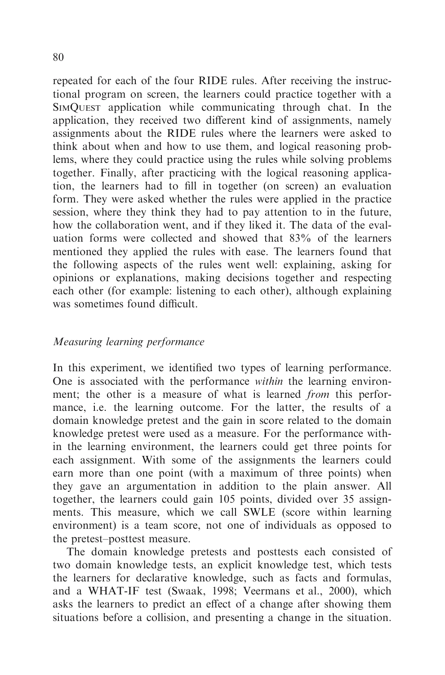repeated for each of the four RIDE rules. After receiving the instructional program on screen, the learners could practice together with a SIMQUEST application while communicating through chat. In the application, they received two different kind of assignments, namely assignments about the RIDE rules where the learners were asked to think about when and how to use them, and logical reasoning problems, where they could practice using the rules while solving problems together. Finally, after practicing with the logical reasoning application, the learners had to fill in together (on screen) an evaluation form. They were asked whether the rules were applied in the practice session, where they think they had to pay attention to in the future, how the collaboration went, and if they liked it. The data of the evaluation forms were collected and showed that 83% of the learners mentioned they applied the rules with ease. The learners found that the following aspects of the rules went well: explaining, asking for opinions or explanations, making decisions together and respecting each other (for example: listening to each other), although explaining was sometimes found difficult.

## Measuring learning performance

In this experiment, we identified two types of learning performance. One is associated with the performance within the learning environment; the other is a measure of what is learned *from* this performance, i.e. the learning outcome. For the latter, the results of a domain knowledge pretest and the gain in score related to the domain knowledge pretest were used as a measure. For the performance within the learning environment, the learners could get three points for each assignment. With some of the assignments the learners could earn more than one point (with a maximum of three points) when they gave an argumentation in addition to the plain answer. All together, the learners could gain 105 points, divided over 35 assignments. This measure, which we call SWLE (score within learning environment) is a team score, not one of individuals as opposed to the pretest–posttest measure.

The domain knowledge pretests and posttests each consisted of two domain knowledge tests, an explicit knowledge test, which tests the learners for declarative knowledge, such as facts and formulas, and a WHAT-IF test (Swaak, 1998; Veermans et al., 2000), which asks the learners to predict an effect of a change after showing them situations before a collision, and presenting a change in the situation.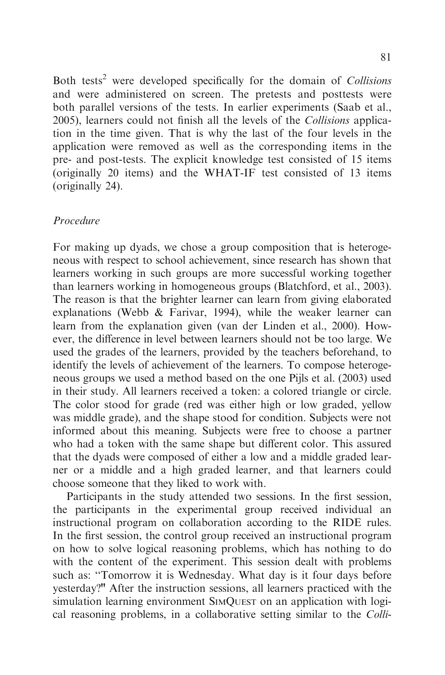Both tests<sup>2</sup> were developed specifically for the domain of Collisions and were administered on screen. The pretests and posttests were both parallel versions of the tests. In earlier experiments (Saab et al., 2005), learners could not finish all the levels of the Collisions application in the time given. That is why the last of the four levels in the application were removed as well as the corresponding items in the pre- and post-tests. The explicit knowledge test consisted of 15 items (originally 20 items) and the WHAT-IF test consisted of 13 items (originally 24).

#### Procedure

For making up dyads, we chose a group composition that is heterogeneous with respect to school achievement, since research has shown that learners working in such groups are more successful working together than learners working in homogeneous groups (Blatchford, et al., 2003). The reason is that the brighter learner can learn from giving elaborated explanations (Webb & Farivar, 1994), while the weaker learner can learn from the explanation given (van der Linden et al., 2000). However, the difference in level between learners should not be too large. We used the grades of the learners, provided by the teachers beforehand, to identify the levels of achievement of the learners. To compose heterogeneous groups we used a method based on the one Pijls et al. (2003) used in their study. All learners received a token: a colored triangle or circle. The color stood for grade (red was either high or low graded, yellow was middle grade), and the shape stood for condition. Subjects were not informed about this meaning. Subjects were free to choose a partner who had a token with the same shape but different color. This assured that the dyads were composed of either a low and a middle graded learner or a middle and a high graded learner, and that learners could choose someone that they liked to work with.

Participants in the study attended two sessions. In the first session, the participants in the experimental group received individual an instructional program on collaboration according to the RIDE rules. In the first session, the control group received an instructional program on how to solve logical reasoning problems, which has nothing to do with the content of the experiment. This session dealt with problems such as: ''Tomorrow it is Wednesday. What day is it four days before yesterday?" After the instruction sessions, all learners practiced with the simulation learning environment SIMQUEST on an application with logical reasoning problems, in a collaborative setting similar to the Colli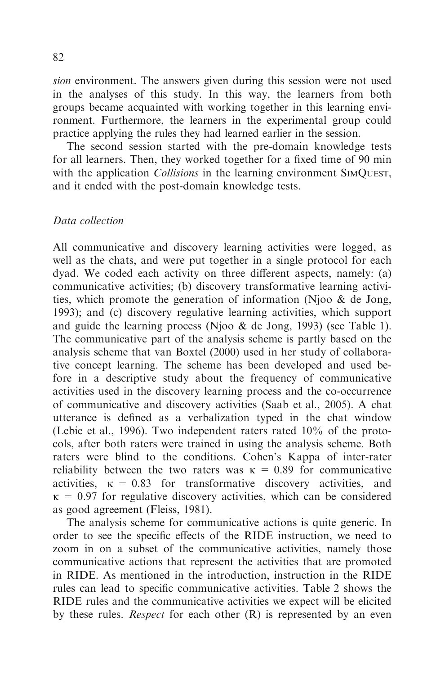sion environment. The answers given during this session were not used in the analyses of this study. In this way, the learners from both groups became acquainted with working together in this learning environment. Furthermore, the learners in the experimental group could practice applying the rules they had learned earlier in the session.

The second session started with the pre-domain knowledge tests for all learners. Then, they worked together for a fixed time of 90 min with the application *Collisions* in the learning environment SIMQUEST, and it ended with the post-domain knowledge tests.

#### Data collection

All communicative and discovery learning activities were logged, as well as the chats, and were put together in a single protocol for each dyad. We coded each activity on three different aspects, namely: (a) communicative activities; (b) discovery transformative learning activities, which promote the generation of information (Njoo & de Jong, 1993); and (c) discovery regulative learning activities, which support and guide the learning process (Njoo & de Jong, 1993) (see Table 1). The communicative part of the analysis scheme is partly based on the analysis scheme that van Boxtel (2000) used in her study of collaborative concept learning. The scheme has been developed and used before in a descriptive study about the frequency of communicative activities used in the discovery learning process and the co-occurrence of communicative and discovery activities (Saab et al., 2005). A chat utterance is defined as a verbalization typed in the chat window (Lebie et al., 1996). Two independent raters rated 10% of the protocols, after both raters were trained in using the analysis scheme. Both raters were blind to the conditions. Cohen's Kappa of inter-rater reliability between the two raters was  $\kappa = 0.89$  for communicative activities,  $\kappa = 0.83$  for transformative discovery activities, and  $\kappa$  = 0.97 for regulative discovery activities, which can be considered as good agreement (Fleiss, 1981).

The analysis scheme for communicative actions is quite generic. In order to see the specific effects of the RIDE instruction, we need to zoom in on a subset of the communicative activities, namely those communicative actions that represent the activities that are promoted in RIDE. As mentioned in the introduction, instruction in the RIDE rules can lead to specific communicative activities. Table 2 shows the RIDE rules and the communicative activities we expect will be elicited by these rules. *Respect* for each other  $(R)$  is represented by an even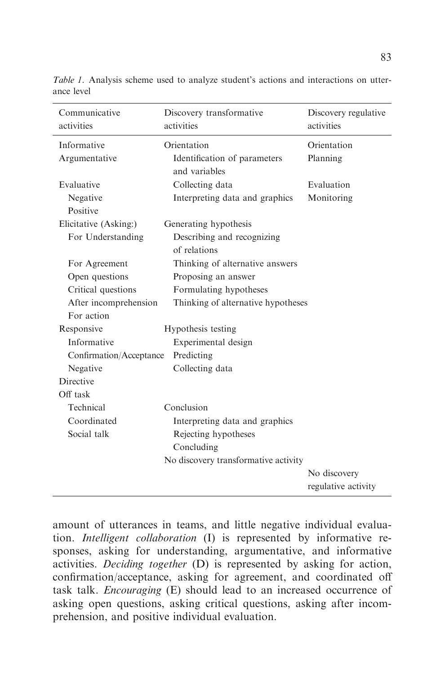| Communicative<br>activities | Discovery transformative<br>activities        | Discovery regulative<br>activities  |
|-----------------------------|-----------------------------------------------|-------------------------------------|
| Informative                 | Orientation                                   | Orientation                         |
| Argumentative               | Identification of parameters<br>and variables | Planning                            |
| Evaluative                  | Collecting data                               | Evaluation                          |
| Negative<br>Positive        | Interpreting data and graphics                | Monitoring                          |
| Elicitative (Asking:)       | Generating hypothesis                         |                                     |
| For Understanding           | Describing and recognizing                    |                                     |
|                             | of relations                                  |                                     |
| For Agreement               | Thinking of alternative answers               |                                     |
| Open questions              | Proposing an answer                           |                                     |
| Critical questions          | Formulating hypotheses                        |                                     |
| After incomprehension       | Thinking of alternative hypotheses            |                                     |
| For action                  |                                               |                                     |
| Responsive                  | Hypothesis testing                            |                                     |
| Informative                 | Experimental design                           |                                     |
| Confirmation/Acceptance     | Predicting                                    |                                     |
| Negative                    | Collecting data                               |                                     |
| <b>Directive</b>            |                                               |                                     |
| Off task                    |                                               |                                     |
| Technical                   | Conclusion                                    |                                     |
| Coordinated                 | Interpreting data and graphics                |                                     |
| Social talk                 | Rejecting hypotheses                          |                                     |
|                             | Concluding                                    |                                     |
|                             | No discovery transformative activity          |                                     |
|                             |                                               | No discovery<br>regulative activity |

Table 1. Analysis scheme used to analyze student's actions and interactions on utterance level

amount of utterances in teams, and little negative individual evaluation. Intelligent collaboration (I) is represented by informative responses, asking for understanding, argumentative, and informative activities. Deciding together (D) is represented by asking for action, confirmation/acceptance, asking for agreement, and coordinated off task talk. Encouraging (E) should lead to an increased occurrence of asking open questions, asking critical questions, asking after incomprehension, and positive individual evaluation.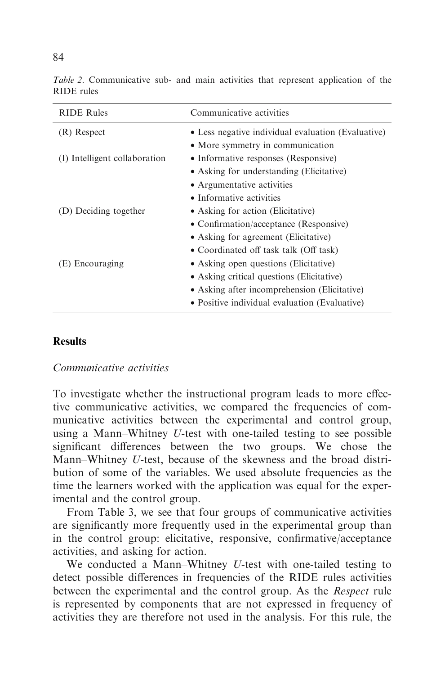| <b>RIDE</b> Rules             | Communicative activities                           |
|-------------------------------|----------------------------------------------------|
| (R) Respect                   | • Less negative individual evaluation (Evaluative) |
|                               | • More symmetry in communication                   |
| (I) Intelligent collaboration | • Informative responses (Responsive)               |
|                               | • Asking for understanding (Elicitative)           |
|                               | • Argumentative activities                         |
|                               | • Informative activities                           |
| (D) Deciding together         | • Asking for action (Elicitative)                  |
|                               | • Confirmation/acceptance (Responsive)             |
|                               | • Asking for agreement (Elicitative)               |
|                               | • Coordinated off task talk (Off task)             |
| (E) Encouraging               | • Asking open questions (Elicitative)              |
|                               | • Asking critical questions (Elicitative)          |
|                               | • Asking after incomprehension (Elicitative)       |
|                               | • Positive individual evaluation (Evaluative)      |

Table 2. Communicative sub- and main activities that represent application of the RIDE rules

#### **Results**

#### Communicative activities

To investigate whether the instructional program leads to more effective communicative activities, we compared the frequencies of communicative activities between the experimental and control group, using a Mann–Whitney U-test with one-tailed testing to see possible significant differences between the two groups. We chose the Mann–Whitney U-test, because of the skewness and the broad distribution of some of the variables. We used absolute frequencies as the time the learners worked with the application was equal for the experimental and the control group.

From Table 3, we see that four groups of communicative activities are significantly more frequently used in the experimental group than in the control group: elicitative, responsive, confirmative/acceptance activities, and asking for action.

We conducted a Mann–Whitney U-test with one-tailed testing to detect possible differences in frequencies of the RIDE rules activities between the experimental and the control group. As the Respect rule is represented by components that are not expressed in frequency of activities they are therefore not used in the analysis. For this rule, the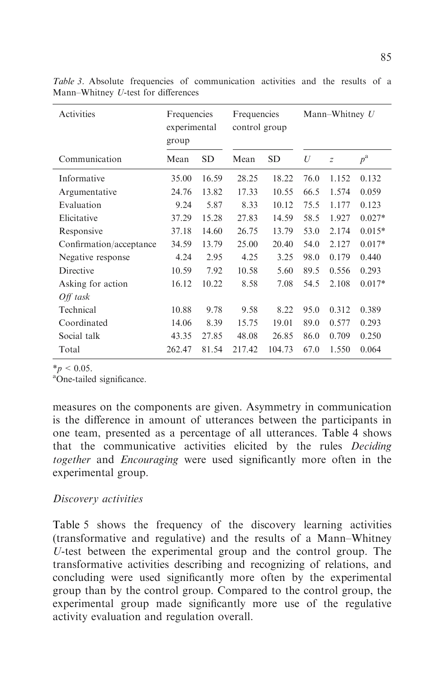| Activities              | Frequencies<br>experimental<br>group |           | Frequencies<br>control group |           | Mann–Whitney $U$ |                |             |  |
|-------------------------|--------------------------------------|-----------|------------------------------|-----------|------------------|----------------|-------------|--|
| Communication           | Mean                                 | <b>SD</b> | Mean                         | <b>SD</b> | U                | $\overline{z}$ | $p^{\rm a}$ |  |
| Informative             | 35.00                                | 16.59     | 28.25                        | 18.22     | 76.0             | 1.152          | 0.132       |  |
| Argumentative           | 24.76                                | 13.82     | 17.33                        | 10.55     | 66.5             | 1.574          | 0.059       |  |
| Evaluation              | 9.24                                 | 5.87      | 8.33                         | 10.12     | 75.5             | 1.177          | 0.123       |  |
| Elicitative             | 37.29                                | 15.28     | 27.83                        | 14.59     | 58.5             | 1.927          | $0.027*$    |  |
| Responsive              | 37.18                                | 14.60     | 26.75                        | 13.79     | 53.0             | 2.174          | $0.015*$    |  |
| Confirmation/acceptance | 34.59                                | 13.79     | 25.00                        | 20.40     | 54.0             | 2.127          | $0.017*$    |  |
| Negative response       | 4.24                                 | 2.95      | 4.25                         | 3.25      | 98.0             | 0.179          | 0.440       |  |
| Directive               | 10.59                                | 7.92      | 10.58                        | 5.60      | 89.5             | 0.556          | 0.293       |  |
| Asking for action       | 16.12                                | 10.22     | 8.58                         | 7.08      | 54.5             | 2.108          | $0.017*$    |  |
| $Off$ task              |                                      |           |                              |           |                  |                |             |  |
| Technical               | 10.88                                | 9.78      | 9.58                         | 8.22      | 95.0             | 0.312          | 0.389       |  |
| Coordinated             | 14.06                                | 8.39      | 15.75                        | 19.01     | 89.0             | 0.577          | 0.293       |  |
| Social talk             | 43.35                                | 27.85     | 48.08                        | 26.85     | 86.0             | 0.709          | 0.250       |  |
| Total                   | 262.47                               | 81.54     | 217.42                       | 104.73    | 67.0             | 1.550          | 0.064       |  |

Table 3. Absolute frequencies of communication activities and the results of a Mann–Whitney U-test for differences

 $*_{p}$  < 0.05.

One-tailed significance.

measures on the components are given. Asymmetry in communication is the difference in amount of utterances between the participants in one team, presented as a percentage of all utterances. Table 4 shows that the communicative activities elicited by the rules Deciding together and Encouraging were used significantly more often in the experimental group.

## Discovery activities

Table 5 shows the frequency of the discovery learning activities (transformative and regulative) and the results of a Mann–Whitney U-test between the experimental group and the control group. The transformative activities describing and recognizing of relations, and concluding were used significantly more often by the experimental group than by the control group. Compared to the control group, the experimental group made significantly more use of the regulative activity evaluation and regulation overall.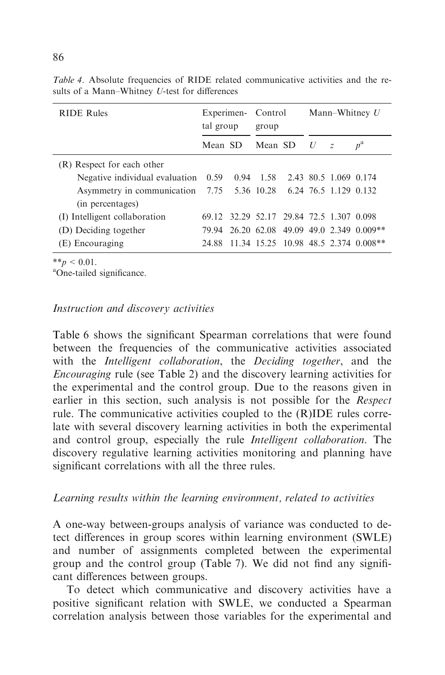| <b>RIDE Rules</b>                                                   | Experimen-<br>tal group | Control<br>group                         |   |   | Mann–Whitney U                         |
|---------------------------------------------------------------------|-------------------------|------------------------------------------|---|---|----------------------------------------|
|                                                                     | Mean SD                 | Mean SD                                  | U | Z | $p^{\rm a}$                            |
| (R) Respect for each other                                          |                         |                                          |   |   |                                        |
| Negative individual evaluation 0.59 0.94 1.58 2.43 80.5 1.069 0.174 |                         |                                          |   |   |                                        |
| Asymmetry in communication 7.75 5.36 10.28 6.24 76.5 1.129 0.132    |                         |                                          |   |   |                                        |
| (in percentages)                                                    |                         |                                          |   |   |                                        |
| (I) Intelligent collaboration                                       |                         | 69.12 32.29 52.17 29.84 72.5 1.307 0.098 |   |   |                                        |
| (D) Deciding together                                               | 79.94                   |                                          |   |   | 26.20 62.08 49.09 49.0 2.349 0.009**   |
| (E) Encouraging                                                     | 24.88                   |                                          |   |   | $11.34$ 15.25 10.98 48.5 2.374 0.008** |

Table 4. Absolute frequencies of RIDE related communicative activities and the results of a Mann–Whitney U-test for differences

 $**_p < 0.01$ .

One-tailed significance.

#### Instruction and discovery activities

Table 6 shows the significant Spearman correlations that were found between the frequencies of the communicative activities associated with the *Intelligent collaboration*, the *Deciding together*, and the Encouraging rule (see Table 2) and the discovery learning activities for the experimental and the control group. Due to the reasons given in earlier in this section, such analysis is not possible for the Respect rule. The communicative activities coupled to the (R)IDE rules correlate with several discovery learning activities in both the experimental and control group, especially the rule Intelligent collaboration. The discovery regulative learning activities monitoring and planning have significant correlations with all the three rules.

## Learning results within the learning environment, related to activities

A one-way between-groups analysis of variance was conducted to detect differences in group scores within learning environment (SWLE) and number of assignments completed between the experimental group and the control group (Table 7). We did not find any significant differences between groups.

To detect which communicative and discovery activities have a positive significant relation with SWLE, we conducted a Spearman correlation analysis between those variables for the experimental and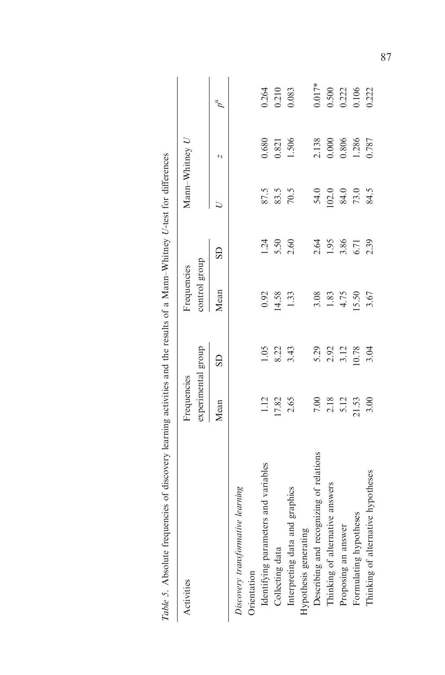| a dependent of the process of the results of the process and the results of a success of the process of the process of the process of the results of a success of the results of a success |                       |                      |               |              |                |                |                         |
|--------------------------------------------------------------------------------------------------------------------------------------------------------------------------------------------|-----------------------|----------------------|---------------|--------------|----------------|----------------|-------------------------|
| Activities                                                                                                                                                                                 | Frequencies           |                      | Frequencies   |              | Mann-Whitney U |                |                         |
|                                                                                                                                                                                            | experimental group    |                      | control group |              |                |                |                         |
|                                                                                                                                                                                            | Mean                  | $\overline{S}$       | Mean          | GS           |                | N              | $p^{\rm a}$             |
| Discovery transformative learning                                                                                                                                                          |                       |                      |               |              |                |                |                         |
| Orientation                                                                                                                                                                                |                       |                      |               |              |                |                |                         |
| Identifying parameters and variables                                                                                                                                                       | 1.12                  | 1.05                 | 0.92          | 1.24         | 87.5           | 0.680          | 0.264                   |
| Collecting data                                                                                                                                                                            | 17.82                 | 8.22<br>3.43         | 14.58         | 5.50<br>2.60 | 83.5           | 0.821          | $\frac{0.210}{0.083}$   |
| Interpreting data and graphics                                                                                                                                                             | 2.65                  |                      | 1.33          |              |                | 1.506          |                         |
| Hypothesis generating                                                                                                                                                                      |                       |                      |               |              |                |                |                         |
| Describing and recognizing of relations                                                                                                                                                    | $7.00\,$              |                      | 3.08          |              |                |                | $0.017*$                |
| Thinking of alternative answers                                                                                                                                                            |                       | 5.29<br>2.92<br>3.12 | 1.83          | 2.64<br>1.95 | 54.0<br>102.0  | 2.138<br>0.000 |                         |
| Proposing an answer                                                                                                                                                                        | 2.18<br>5.12<br>21.53 |                      | 4.75          | 3.86<br>6.71 | $84.0$<br>73.0 | 0.806          | 0.500<br>0.222<br>0.106 |
| Formulating hypotheses                                                                                                                                                                     |                       | 10.78                | 15.50         |              |                | 1.286          |                         |
| Thinking of alternative hypotheses                                                                                                                                                         | 3.00                  | 3.04                 | 3.67          | 2.39         | 84.5           | 0.787          | 0.222                   |

Table 5. Absolute frequencies of discovery learning activities and the results of a Mann–Whitney U-test for differences of a Mann-Whitney  $U_+$ test for different  $\sim$ and the  $\overline{a}$ j  $\frac{1}{1}$  $\alpha$ f disc  $\ddot{\phantom{0}}$  $\Lambda$  begins free  $\overline{a}$ Table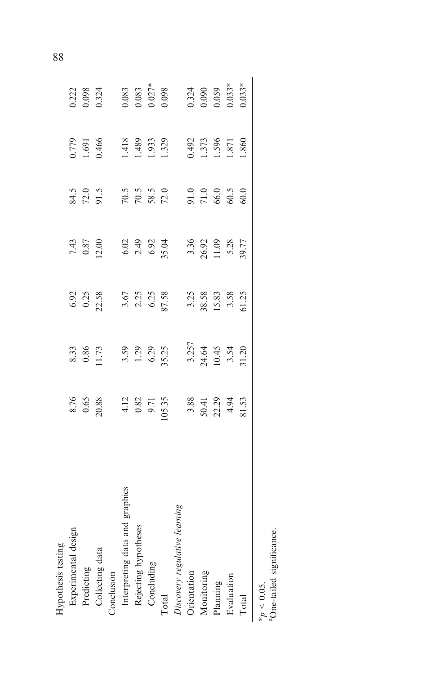| Hypothesis testing                                     |                                                                                                                                                                                                                                 |                                                                  |                                                              |                                                            |                                                                                                                 |                                           |                                                                                            |
|--------------------------------------------------------|---------------------------------------------------------------------------------------------------------------------------------------------------------------------------------------------------------------------------------|------------------------------------------------------------------|--------------------------------------------------------------|------------------------------------------------------------|-----------------------------------------------------------------------------------------------------------------|-------------------------------------------|--------------------------------------------------------------------------------------------|
| Experimental design                                    |                                                                                                                                                                                                                                 |                                                                  |                                                              |                                                            |                                                                                                                 |                                           |                                                                                            |
| Predicting                                             |                                                                                                                                                                                                                                 |                                                                  |                                                              |                                                            |                                                                                                                 | 0.779<br>1.691<br>0.466                   |                                                                                            |
| Collecting data                                        |                                                                                                                                                                                                                                 |                                                                  | $6.92$<br>0.25<br>22.58                                      |                                                            |                                                                                                                 |                                           | 0.222<br>0.098<br>0.324                                                                    |
| Conclusion                                             |                                                                                                                                                                                                                                 |                                                                  |                                                              |                                                            | 84.5<br>72.0<br>91.5                                                                                            |                                           |                                                                                            |
| Interpreting data and graphics                         | 8.7688 12.875.98 30.99 30.99 30.99 30.99 30.99 30.99 30.99 30.99 30.99 30.99 30.99 30.99 30.99 30.99 30.99 30.<br>30.99 30.99 30.99 30.99 30.99 30.99 30.99 30.99 30.99 30.99 30.99 30.99 30.99 30.99 30.99 30.99 30.99 30.99 3 | 8.33<br>0.86 P. 73<br>1.29 P. 75<br>1.20<br>3.25<br>3.20<br>3.20 | 3.67<br>2.23<br>5.7.38<br>3.25<br>3.88<br>3.35<br>5.5<br>5.5 | 743<br>0.870<br>0.900 2432<br>0.923 36.928<br>0.925 36.927 | $70.5$ $70.5$ $70.5$ $70.5$ $70.5$ $70.5$ $70.5$ $70.5$ $70.5$ $70.5$ $70.5$ $70.5$ $70.5$ $70.5$ $70.5$ $70.5$ |                                           |                                                                                            |
| Rejecting hypotheses                                   |                                                                                                                                                                                                                                 |                                                                  |                                                              |                                                            |                                                                                                                 |                                           |                                                                                            |
| Concluding                                             |                                                                                                                                                                                                                                 |                                                                  |                                                              |                                                            |                                                                                                                 |                                           |                                                                                            |
| Total                                                  |                                                                                                                                                                                                                                 |                                                                  |                                                              |                                                            |                                                                                                                 |                                           |                                                                                            |
| Discovery regulative learning                          |                                                                                                                                                                                                                                 |                                                                  |                                                              |                                                            |                                                                                                                 | 1.418<br>1.489<br>1.933<br>1.329          | $0.083$<br>$0.027$ *<br>$0.027$ *<br>$0.033$<br>$0.034$<br>$0.059$<br>$0.059$<br>$0.033$ * |
| Orientation                                            |                                                                                                                                                                                                                                 |                                                                  |                                                              |                                                            |                                                                                                                 |                                           |                                                                                            |
| Monitoring                                             |                                                                                                                                                                                                                                 |                                                                  |                                                              |                                                            |                                                                                                                 | 0.492<br>1.373<br>1.856<br>1.871<br>1.860 |                                                                                            |
| Planning                                               |                                                                                                                                                                                                                                 |                                                                  |                                                              |                                                            |                                                                                                                 |                                           |                                                                                            |
| Evaluation                                             |                                                                                                                                                                                                                                 |                                                                  |                                                              |                                                            |                                                                                                                 |                                           |                                                                                            |
| Total                                                  |                                                                                                                                                                                                                                 |                                                                  |                                                              |                                                            |                                                                                                                 |                                           |                                                                                            |
| <sup>a</sup> One-tailed significance.<br>* $p$ < 0.05. |                                                                                                                                                                                                                                 |                                                                  |                                                              |                                                            |                                                                                                                 |                                           |                                                                                            |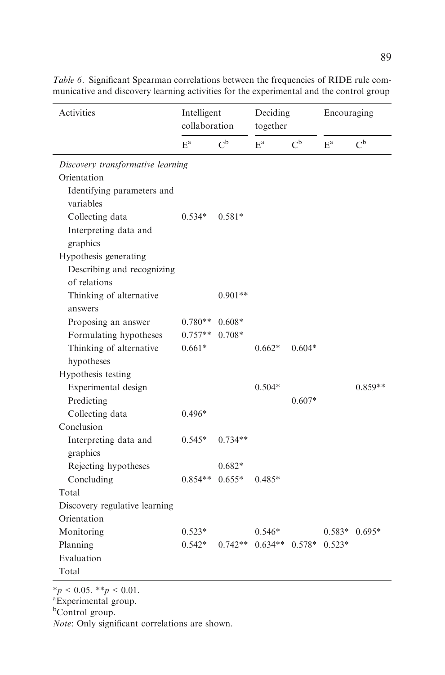| Activities                                 | Intelligent<br>collaboration |             | Deciding<br>together |             | Encouraging |                 |
|--------------------------------------------|------------------------------|-------------|----------------------|-------------|-------------|-----------------|
|                                            | $E^a$                        | $C^{\rm b}$ | $E^a$                | $C^{\rm b}$ | $E^a$       | $C^{\rm b}$     |
| Discovery transformative learning          |                              |             |                      |             |             |                 |
| Orientation                                |                              |             |                      |             |             |                 |
| Identifying parameters and<br>variables    |                              |             |                      |             |             |                 |
| Collecting data                            | $0.534*$                     | $0.581*$    |                      |             |             |                 |
| Interpreting data and<br>graphics          |                              |             |                      |             |             |                 |
| Hypothesis generating                      |                              |             |                      |             |             |                 |
| Describing and recognizing<br>of relations |                              |             |                      |             |             |                 |
| Thinking of alternative<br>answers         |                              | $0.901**$   |                      |             |             |                 |
| Proposing an answer                        | $0.780**$                    | $0.608*$    |                      |             |             |                 |
| Formulating hypotheses                     | $0.757**$                    | $0.708*$    |                      |             |             |                 |
| Thinking of alternative                    | $0.661*$                     |             | $0.662*$             | $0.604*$    |             |                 |
| hypotheses                                 |                              |             |                      |             |             |                 |
| Hypothesis testing                         |                              |             |                      |             |             |                 |
| Experimental design                        |                              |             | $0.504*$             |             |             | $0.859**$       |
| Predicting                                 |                              |             |                      | $0.607*$    |             |                 |
| Collecting data                            | $0.496*$                     |             |                      |             |             |                 |
| Conclusion                                 |                              |             |                      |             |             |                 |
| Interpreting data and                      | $0.545*$                     | $0.734**$   |                      |             |             |                 |
| graphics                                   |                              |             |                      |             |             |                 |
| Rejecting hypotheses                       |                              | $0.682*$    |                      |             |             |                 |
| Concluding                                 | $0.854**$                    | $0.655*$    | $0.485*$             |             |             |                 |
| Total                                      |                              |             |                      |             |             |                 |
| Discovery regulative learning              |                              |             |                      |             |             |                 |
| Orientation                                |                              |             |                      |             |             |                 |
| Monitoring                                 | $0.523*$                     |             | $0.546*$             |             |             | $0.583*$ 0.695* |
| Planning                                   | $0.542*$                     | $0.742**$   | $0.634**$ 0.578*     |             | $0.523*$    |                 |
| Evaluation                                 |                              |             |                      |             |             |                 |
| Total                                      |                              |             |                      |             |             |                 |

Table 6. Significant Spearman correlations between the frequencies of RIDE rule communicative and discovery learning activities for the experimental and the control group

 $*_{p} < 0.05$ .  $*_{p} < 0.01$ .<br><sup>a</sup>Experimental group.

b Control group.

Note: Only significant correlations are shown.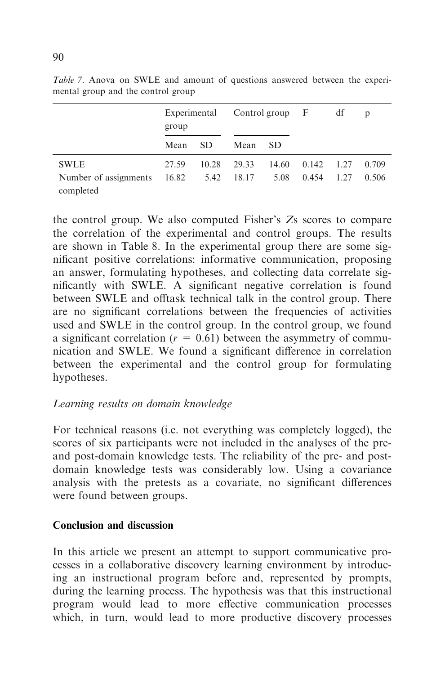|                                    | Experimental<br>group |       |       | Control group $F$ |       | df   | p     |
|------------------------------------|-----------------------|-------|-------|-------------------|-------|------|-------|
|                                    | Mean                  | SD.   | Mean  | <b>SD</b>         |       |      |       |
| <b>SWLE</b>                        | 27.59                 | 10.28 | 29.33 | 14.60             | 0.142 | 1.27 | 0.709 |
| Number of assignments<br>completed | 16.82                 | 5.42  | 18.17 | 5.08              | 0.454 | 1.27 | 0.506 |

Table 7. Anova on SWLE and amount of questions answered between the experimental group and the control group

the control group. We also computed Fisher's Zs scores to compare the correlation of the experimental and control groups. The results are shown in Table 8. In the experimental group there are some significant positive correlations: informative communication, proposing an answer, formulating hypotheses, and collecting data correlate significantly with SWLE. A significant negative correlation is found between SWLE and offtask technical talk in the control group. There are no significant correlations between the frequencies of activities used and SWLE in the control group. In the control group, we found a significant correlation ( $r = 0.61$ ) between the asymmetry of communication and SWLE. We found a significant difference in correlation between the experimental and the control group for formulating hypotheses.

## Learning results on domain knowledge

For technical reasons (i.e. not everything was completely logged), the scores of six participants were not included in the analyses of the preand post-domain knowledge tests. The reliability of the pre- and postdomain knowledge tests was considerably low. Using a covariance analysis with the pretests as a covariate, no significant differences were found between groups.

## Conclusion and discussion

In this article we present an attempt to support communicative processes in a collaborative discovery learning environment by introducing an instructional program before and, represented by prompts, during the learning process. The hypothesis was that this instructional program would lead to more effective communication processes which, in turn, would lead to more productive discovery processes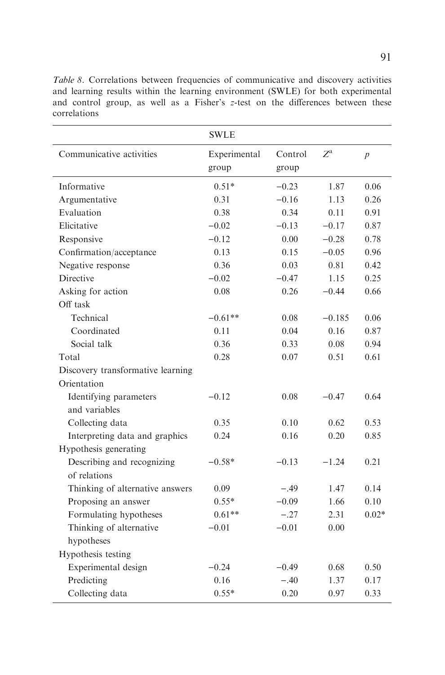Table 8. Correlations between frequencies of communicative and discovery activities and learning results within the learning environment (SWLE) for both experimental and control group, as well as a Fisher's z-test on the differences between these correlations

|                                   | <b>SWLE</b>           |                  |                  |                  |
|-----------------------------------|-----------------------|------------------|------------------|------------------|
| Communicative activities          | Experimental<br>group | Control<br>group | $Z^{\mathrm{a}}$ | $\boldsymbol{p}$ |
|                                   |                       |                  |                  |                  |
| Informative                       | $0.51*$               | $-0.23$          | 1.87             | 0.06             |
| Argumentative                     | 0.31                  | $-0.16$          | 1.13             | 0.26             |
| Evaluation                        | 0.38                  | 0.34             | 0.11             | 0.91             |
| Elicitative                       | $-0.02$               | $-0.13$          | $-0.17$          | 0.87             |
| Responsive                        | $-0.12$               | 0.00             | $-0.28$          | 0.78             |
| Confirmation/acceptance           | 0.13                  | 0.15             | $-0.05$          | 0.96             |
| Negative response                 | 0.36                  | 0.03             | 0.81             | 0.42             |
| <b>Directive</b>                  | $-0.02$               | $-0.47$          | 1.15             | 0.25             |
| Asking for action                 | 0.08                  | 0.26             | $-0.44$          | 0.66             |
| Off task                          |                       |                  |                  |                  |
| Technical                         | $-0.61**$             | 0.08             | $-0.185$         | 0.06             |
| Coordinated                       | 0.11                  | 0.04             | 0.16             | 0.87             |
| Social talk                       | 0.36                  | 0.33             | 0.08             | 0.94             |
| Total                             | 0.28                  | 0.07             | 0.51             | 0.61             |
| Discovery transformative learning |                       |                  |                  |                  |
| Orientation                       |                       |                  |                  |                  |
| Identifying parameters            | $-0.12$               | 0.08             | $-0.47$          | 0.64             |
| and variables                     |                       |                  |                  |                  |
| Collecting data                   | 0.35                  | 0.10             | 0.62             | 0.53             |
| Interpreting data and graphics    | 0.24                  | 0.16             | 0.20             | 0.85             |
| Hypothesis generating             |                       |                  |                  |                  |
| Describing and recognizing        | $-0.58*$              | $-0.13$          | $-1.24$          | 0.21             |
| of relations                      |                       |                  |                  |                  |
| Thinking of alternative answers   | 0.09                  | $-.49$           | 1.47             | 0.14             |
| Proposing an answer               | $0.55*$               | $-0.09$          | 1.66             | 0.10             |
| Formulating hypotheses            | $0.61**$              | $-.27$           | 2.31             | $0.02*$          |
| Thinking of alternative           | $-0.01$               | $-0.01$          | 0.00             |                  |
| hypotheses                        |                       |                  |                  |                  |
| Hypothesis testing                |                       |                  |                  |                  |
| Experimental design               | $-0.24$               | $-0.49$          | 0.68             | 0.50             |
| Predicting                        | 0.16                  | $-.40$           | 1.37             | 0.17             |
| Collecting data                   | $0.55*$               | 0.20             | 0.97             | 0.33             |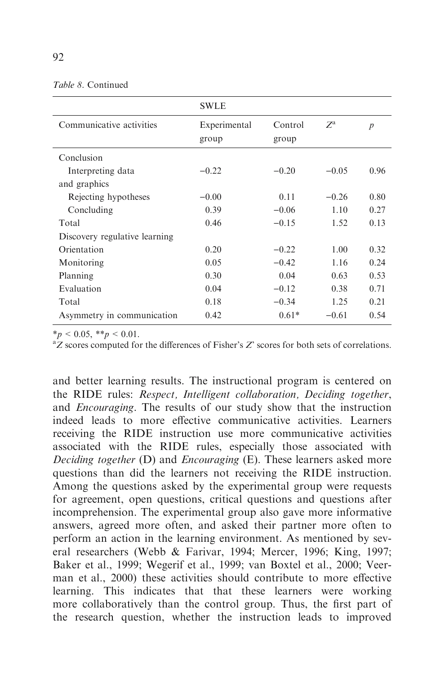| <i>Table 8.</i> Continued |  |
|---------------------------|--|
|---------------------------|--|

|                               | <b>SWLE</b>           |                  |             |                  |
|-------------------------------|-----------------------|------------------|-------------|------------------|
| Communicative activities      | Experimental<br>group | Control<br>group | $Z^{\rm a}$ | $\boldsymbol{p}$ |
| Conclusion                    |                       |                  |             |                  |
| Interpreting data             | $-0.22$               | $-0.20$          | $-0.05$     | 0.96             |
| and graphics                  |                       |                  |             |                  |
| Rejecting hypotheses          | $-0.00$               | 0.11             | $-0.26$     | 0.80             |
| Concluding                    | 0.39                  | $-0.06$          | 1.10        | 0.27             |
| Total                         | 0.46                  | $-0.15$          | 1.52        | 0.13             |
| Discovery regulative learning |                       |                  |             |                  |
| Orientation                   | 0.20                  | $-0.22$          | 1.00        | 0.32             |
| Monitoring                    | 0.05                  | $-0.42$          | 1.16        | 0.24             |
| Planning                      | 0.30                  | 0.04             | 0.63        | 0.53             |
| Evaluation                    | 0.04                  | $-0.12$          | 0.38        | 0.71             |
| Total                         | 0.18                  | $-0.34$          | 1.25        | 0.21             |
| Asymmetry in communication    | 0.42                  | $0.61*$          | $-0.61$     | 0.54             |

 $*_p$  < 0.05,  $*_p$  < 0.01.

 ${}^aZ$  scores computed for the differences of Fisher's  $Z$ ' scores for both sets of correlations.

and better learning results. The instructional program is centered on the RIDE rules: Respect, Intelligent collaboration, Deciding together, and Encouraging. The results of our study show that the instruction indeed leads to more effective communicative activities. Learners receiving the RIDE instruction use more communicative activities associated with the RIDE rules, especially those associated with Deciding together (D) and Encouraging (E). These learners asked more questions than did the learners not receiving the RIDE instruction. Among the questions asked by the experimental group were requests for agreement, open questions, critical questions and questions after incomprehension. The experimental group also gave more informative answers, agreed more often, and asked their partner more often to perform an action in the learning environment. As mentioned by several researchers (Webb & Farivar, 1994; Mercer, 1996; King, 1997; Baker et al., 1999; Wegerif et al., 1999; van Boxtel et al., 2000; Veerman et al., 2000) these activities should contribute to more effective learning. This indicates that that these learners were working more collaboratively than the control group. Thus, the first part of the research question, whether the instruction leads to improved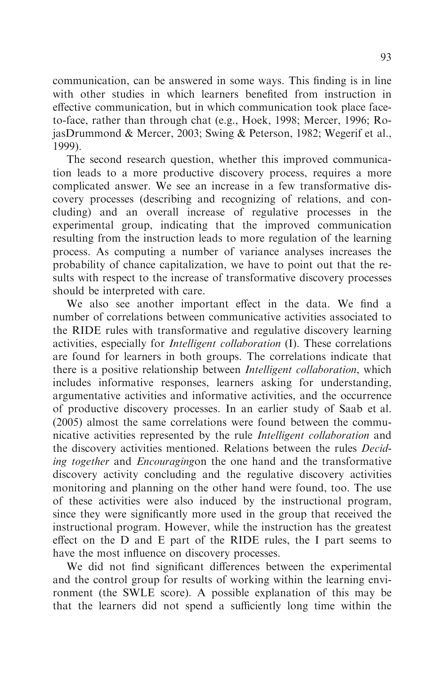communication, can be answered in some ways. This finding is in line with other studies in which learners benefited from instruction in effective communication, but in which communication took place faceto-face, rather than through chat (e.g., Hoek, 1998; Mercer, 1996; RojasDrummond & Mercer, 2003; Swing & Peterson, 1982; Wegerif et al., 1999).

The second research question, whether this improved communication leads to a more productive discovery process, requires a more complicated answer. We see an increase in a few transformative discovery processes (describing and recognizing of relations, and concluding) and an overall increase of regulative processes in the experimental group, indicating that the improved communication resulting from the instruction leads to more regulation of the learning process. As computing a number of variance analyses increases the probability of chance capitalization, we have to point out that the results with respect to the increase of transformative discovery processes should be interpreted with care.

We also see another important effect in the data. We find a number of correlations between communicative activities associated to the RIDE rules with transformative and regulative discovery learning activities, especially for Intelligent collaboration (I). These correlations are found for learners in both groups. The correlations indicate that there is a positive relationship between Intelligent collaboration, which includes informative responses, learners asking for understanding, argumentative activities and informative activities, and the occurrence of productive discovery processes. In an earlier study of Saab et al. (2005) almost the same correlations were found between the communicative activities represented by the rule Intelligent collaboration and the discovery activities mentioned. Relations between the rules Deciding together and Encouragingon the one hand and the transformative discovery activity concluding and the regulative discovery activities monitoring and planning on the other hand were found, too. The use of these activities were also induced by the instructional program, since they were significantly more used in the group that received the instructional program. However, while the instruction has the greatest effect on the D and E part of the RIDE rules, the I part seems to have the most influence on discovery processes.

We did not find significant differences between the experimental and the control group for results of working within the learning environment (the SWLE score). A possible explanation of this may be that the learners did not spend a sufficiently long time within the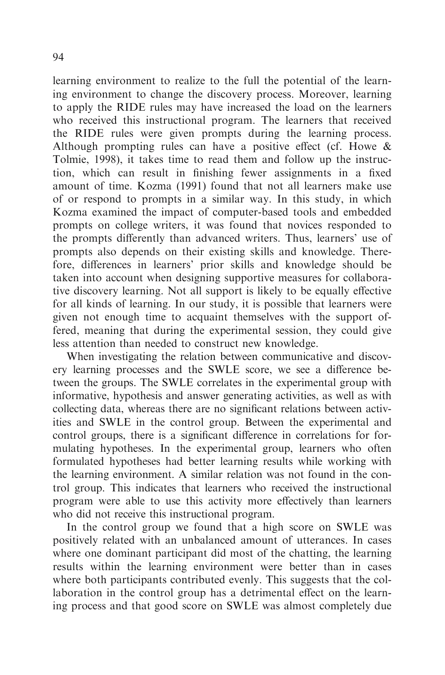learning environment to realize to the full the potential of the learning environment to change the discovery process. Moreover, learning to apply the RIDE rules may have increased the load on the learners who received this instructional program. The learners that received the RIDE rules were given prompts during the learning process. Although prompting rules can have a positive effect (cf. Howe  $\&$ Tolmie, 1998), it takes time to read them and follow up the instruction, which can result in finishing fewer assignments in a fixed amount of time. Kozma (1991) found that not all learners make use of or respond to prompts in a similar way. In this study, in which Kozma examined the impact of computer-based tools and embedded prompts on college writers, it was found that novices responded to the prompts differently than advanced writers. Thus, learners' use of prompts also depends on their existing skills and knowledge. Therefore, differences in learners' prior skills and knowledge should be taken into account when designing supportive measures for collaborative discovery learning. Not all support is likely to be equally effective for all kinds of learning. In our study, it is possible that learners were given not enough time to acquaint themselves with the support offered, meaning that during the experimental session, they could give less attention than needed to construct new knowledge.

When investigating the relation between communicative and discovery learning processes and the SWLE score, we see a difference between the groups. The SWLE correlates in the experimental group with informative, hypothesis and answer generating activities, as well as with collecting data, whereas there are no significant relations between activities and SWLE in the control group. Between the experimental and control groups, there is a significant difference in correlations for formulating hypotheses. In the experimental group, learners who often formulated hypotheses had better learning results while working with the learning environment. A similar relation was not found in the control group. This indicates that learners who received the instructional program were able to use this activity more effectively than learners who did not receive this instructional program.

In the control group we found that a high score on SWLE was positively related with an unbalanced amount of utterances. In cases where one dominant participant did most of the chatting, the learning results within the learning environment were better than in cases where both participants contributed evenly. This suggests that the collaboration in the control group has a detrimental effect on the learning process and that good score on SWLE was almost completely due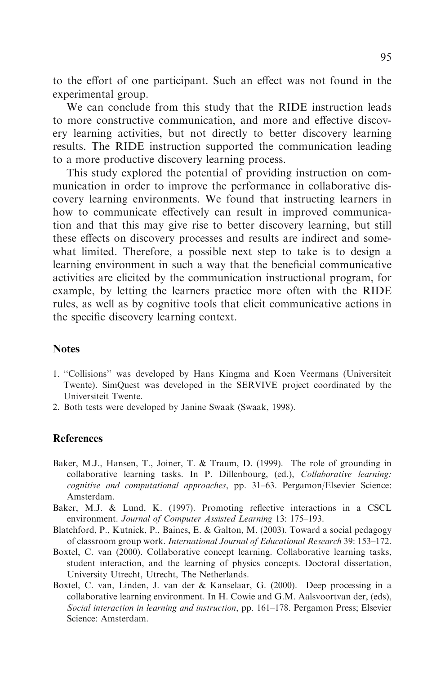to the effort of one participant. Such an effect was not found in the experimental group.

We can conclude from this study that the RIDE instruction leads to more constructive communication, and more and effective discovery learning activities, but not directly to better discovery learning results. The RIDE instruction supported the communication leading to a more productive discovery learning process.

This study explored the potential of providing instruction on communication in order to improve the performance in collaborative discovery learning environments. We found that instructing learners in how to communicate effectively can result in improved communication and that this may give rise to better discovery learning, but still these effects on discovery processes and results are indirect and somewhat limited. Therefore, a possible next step to take is to design a learning environment in such a way that the beneficial communicative activities are elicited by the communication instructional program, for example, by letting the learners practice more often with the RIDE rules, as well as by cognitive tools that elicit communicative actions in the specific discovery learning context.

#### **Notes**

- 1. ''Collisions'' was developed by Hans Kingma and Koen Veermans (Universiteit Twente). SimQuest was developed in the SERVIVE project coordinated by the Universiteit Twente.
- 2. Both tests were developed by Janine Swaak (Swaak, 1998).

#### References

- Baker, M.J., Hansen, T., Joiner, T. & Traum, D. (1999). The role of grounding in collaborative learning tasks. In P. Dillenbourg, (ed.), Collaborative learning: cognitive and computational approaches, pp. 31–63. Pergamon/Elsevier Science: Amsterdam.
- Baker, M.J. & Lund, K. (1997). Promoting reflective interactions in a CSCL environment. Journal of Computer Assisted Learning 13: 175–193.
- Blatchford, P., Kutnick, P., Baines, E. & Galton, M. (2003). Toward a social pedagogy of classroom group work. International Journal of Educational Research 39: 153–172.
- Boxtel, C. van (2000). Collaborative concept learning. Collaborative learning tasks, student interaction, and the learning of physics concepts. Doctoral dissertation, University Utrecht, Utrecht, The Netherlands.
- Boxtel, C. van, Linden, J. van der & Kanselaar, G. (2000). Deep processing in a collaborative learning environment. In H. Cowie and G.M. Aalsvoortvan der, (eds), Social interaction in learning and instruction, pp. 161–178. Pergamon Press; Elsevier Science: Amsterdam.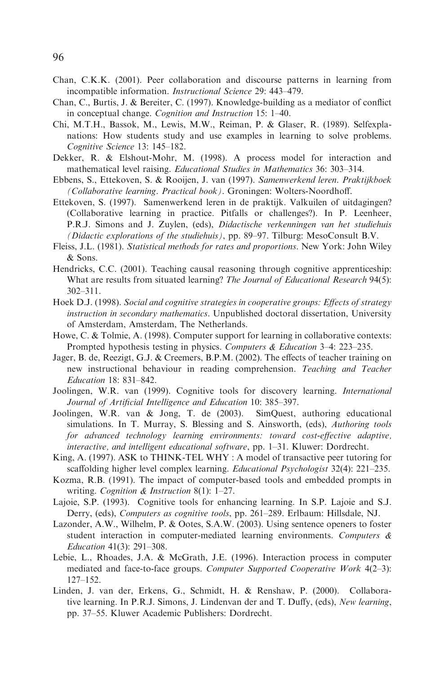- Chan, C.K.K. (2001). Peer collaboration and discourse patterns in learning from incompatible information. Instructional Science 29: 443–479.
- Chan, C., Burtis, J. & Bereiter, C. (1997). Knowledge-building as a mediator of conflict in conceptual change. Cognition and Instruction 15: 1–40.
- Chi, M.T.H., Bassok, M., Lewis, M.W., Reiman, P. & Glaser, R. (1989). Selfexplanations: How students study and use examples in learning to solve problems. Cognitive Science 13: 145–182.
- Dekker, R. & Elshout-Mohr, M. (1998). A process model for interaction and mathematical level raising. Educational Studies in Mathematics 36: 303–314.
- Ebbens, S., Ettekoven, S. & Rooijen, J. van (1997). Samenwerkend leren. Praktijkboek (Collaborative learning. Practical book). Groningen: Wolters-Noordhoff.
- Ettekoven, S. (1997). Samenwerkend leren in de praktijk. Valkuilen of uitdagingen? (Collaborative learning in practice. Pitfalls or challenges?). In P. Leenheer, P.R.J. Simons and J. Zuylen, (eds), Didactische verkenningen van het studiehuis (Didactic explorations of the studiehuis), pp. 89–97. Tilburg: MesoConsult B.V.
- Fleiss, J.L. (1981). Statistical methods for rates and proportions. New York: John Wiley & Sons.
- Hendricks, C.C. (2001). Teaching causal reasoning through cognitive apprenticeship: What are results from situated learning? The Journal of Educational Research 94(5): 302–311.
- Hoek D.J. (1998). Social and cognitive strategies in cooperative groups: Effects of strategy instruction in secondary mathematics. Unpublished doctoral dissertation, University of Amsterdam, Amsterdam, The Netherlands.
- Howe, C. & Tolmie, A. (1998). Computer support for learning in collaborative contexts: Prompted hypothesis testing in physics. Computers & Education 3-4: 223-235.
- Jager, B. de, Reezigt, G.J. & Creemers, B.P.M. (2002). The effects of teacher training on new instructional behaviour in reading comprehension. Teaching and Teacher Education 18: 831–842.
- Joolingen, W.R. van (1999). Cognitive tools for discovery learning. International Journal of Artificial Intelligence and Education 10: 385–397.
- Joolingen, W.R. van & Jong, T. de (2003). SimQuest, authoring educational simulations. In T. Murray, S. Blessing and S. Ainsworth, (eds), *Authoring tools* for advanced technology learning environments: toward cost-effective adaptive, interactive, and intelligent educational software, pp. 1–31. Kluwer: Dordrecht.
- King, A. (1997). ASK to THINK-TEL WHY : A model of transactive peer tutoring for scaffolding higher level complex learning. *Educational Psychologist* 32(4): 221-235.
- Kozma, R.B. (1991). The impact of computer-based tools and embedded prompts in writing. Cognition & Instruction 8(1): 1–27.
- Lajoie, S.P. (1993). Cognitive tools for enhancing learning. In S.P. Lajoie and S.J. Derry, (eds), Computers as cognitive tools, pp. 261–289. Erlbaum: Hillsdale, NJ.
- Lazonder, A.W., Wilhelm, P. & Ootes, S.A.W. (2003). Using sentence openers to foster student interaction in computer-mediated learning environments. Computers & Education 41(3): 291–308.
- Lebie, L., Rhoades, J.A. & McGrath, J.E. (1996). Interaction process in computer mediated and face-to-face groups. Computer Supported Cooperative Work 4(2-3): 127–152.
- Linden, J. van der, Erkens, G., Schmidt, H. & Renshaw, P. (2000). Collaborative learning. In P.R.J. Simons, J. Lindenvan der and T. Duffy, (eds), New learning, pp. 37–55. Kluwer Academic Publishers: Dordrecht.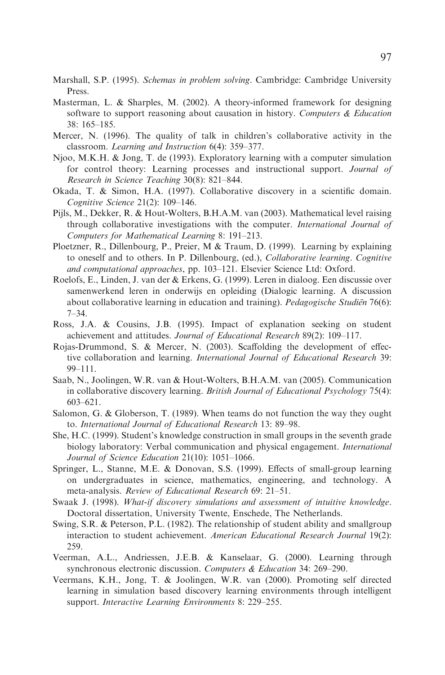- Marshall, S.P. (1995). *Schemas in problem solving*. Cambridge: Cambridge University Press.
- Masterman, L. & Sharples, M. (2002). A theory-informed framework for designing software to support reasoning about causation in history. Computers  $\&$  Education 38: 165–185.
- Mercer, N. (1996). The quality of talk in children's collaborative activity in the classroom. Learning and Instruction 6(4): 359–377.
- Njoo, M.K.H. & Jong, T. de (1993). Exploratory learning with a computer simulation for control theory: Learning processes and instructional support. Journal of Research in Science Teaching 30(8): 821–844.
- Okada, T. & Simon, H.A. (1997). Collaborative discovery in a scientific domain. Cognitive Science 21(2): 109–146.
- Pijls, M., Dekker, R. & Hout-Wolters, B.H.A.M. van (2003). Mathematical level raising through collaborative investigations with the computer. International Journal of Computers for Mathematical Learning 8: 191–213.
- Ploetzner, R., Dillenbourg, P., Preier, M & Traum, D. (1999). Learning by explaining to oneself and to others. In P. Dillenbourg, (ed.), Collaborative learning. Cognitive and computational approaches, pp. 103–121. Elsevier Science Ltd: Oxford.
- Roelofs, E., Linden, J. van der & Erkens, G. (1999). Leren in dialoog. Een discussie over samenwerkend leren in onderwijs en opleiding (Dialogic learning. A discussion about collaborative learning in education and training). Pedagogische Studien 76(6): 7–34.
- Ross, J.A. & Cousins, J.B. (1995). Impact of explanation seeking on student achievement and attitudes. Journal of Educational Research 89(2): 109–117.
- Rojas-Drummond, S. & Mercer, N. (2003). Scaffolding the development of effective collaboration and learning. International Journal of Educational Research 39: 99–111.
- Saab, N., Joolingen, W.R. van & Hout-Wolters, B.H.A.M. van (2005). Communication in collaborative discovery learning. *British Journal of Educational Psychology* 75(4): 603–621.
- Salomon, G. & Globerson, T. (1989). When teams do not function the way they ought to. International Journal of Educational Research 13: 89–98.
- She, H.C. (1999). Student's knowledge construction in small groups in the seventh grade biology laboratory: Verbal communication and physical engagement. International Journal of Science Education 21(10): 1051–1066.
- Springer, L., Stanne, M.E. & Donovan, S.S. (1999). Effects of small-group learning on undergraduates in science, mathematics, engineering, and technology. A meta-analysis. Review of Educational Research 69: 21–51.
- Swaak J. (1998). What-if discovery simulations and assessment of intuitive knowledge. Doctoral dissertation, University Twente, Enschede, The Netherlands.
- Swing, S.R. & Peterson, P.L. (1982). The relationship of student ability and smallgroup interaction to student achievement. American Educational Research Journal 19(2): 259.
- Veerman, A.L., Andriessen, J.E.B. & Kanselaar, G. (2000). Learning through synchronous electronic discussion. Computers & Education 34: 269-290.
- Veermans, K.H., Jong, T. & Joolingen, W.R. van (2000). Promoting self directed learning in simulation based discovery learning environments through intelligent support. Interactive Learning Environments 8: 229–255.